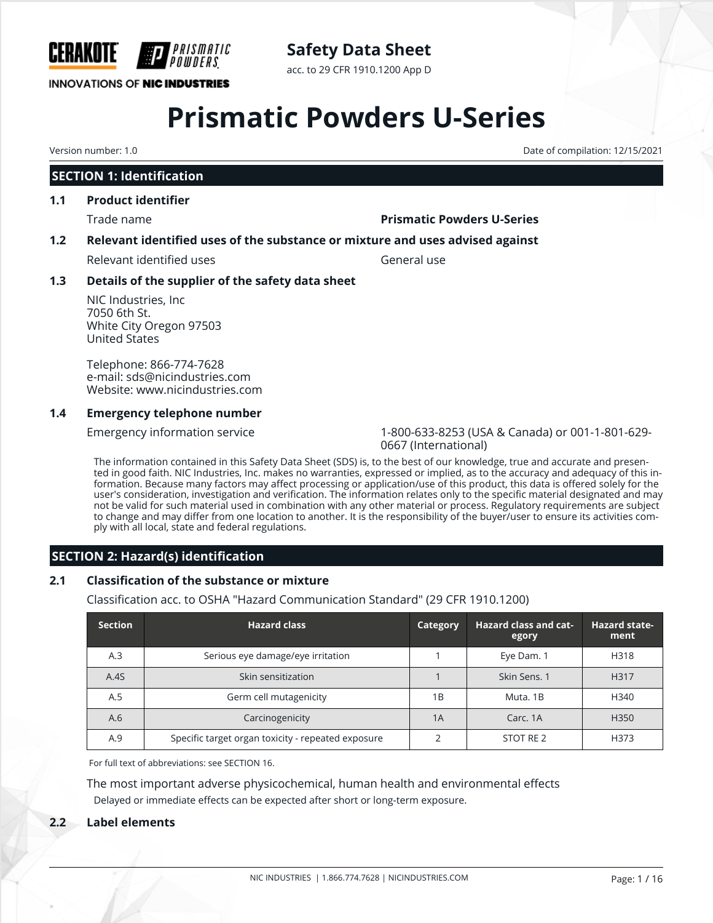

# **Safety Data Sheet**

acc. to 29 CFR 1910.1200 App D

# **Prismatic Powders U-Series**

# **SECTION 1: Identification**

## **1.1 Product identifier**

#### Trade name **Prismatic Powders U-Series**

### **1.2 Relevant identified uses of the substance or mixture and uses advised against**

Relevant identified uses General use

### **1.3 Details of the supplier of the safety data sheet**

NIC Industries, Inc 7050 6th St. White City Oregon 97503 United States

Telephone: 866-774-7628 e-mail: sds@nicindustries.com Website: www.nicindustries.com

#### **1.4 Emergency telephone number**

Emergency information service 1-800-633-8253 (USA & Canada) or 001-1-801-629- 0667 (International)

The information contained in this Safety Data Sheet (SDS) is, to the best of our knowledge, true and accurate and presented in good faith. NIC Industries, Inc. makes no warranties, expressed or implied, as to the accuracy and adequacy of this information. Because many factors may affect processing or application/use of this product, this data is offered solely for the user's consideration, investigation and verification. The information relates only to the specific material designated and may not be valid for such material used in combination with any other material or process. Regulatory requirements are subject to change and may differ from one location to another. It is the responsibility of the buyer/user to ensure its activities comply with all local, state and federal regulations.

# **SECTION 2: Hazard(s) identification**

## **2.1 Classification of the substance or mixture**

Classification acc. to OSHA "Hazard Communication Standard" (29 CFR 1910.1200)

| <b>Section</b> | <b>Hazard class</b>                                | <b>Category</b> | <b>Hazard class and cat-</b><br>egory | <b>Hazard state-</b><br>ment |
|----------------|----------------------------------------------------|-----------------|---------------------------------------|------------------------------|
| A.3            | Serious eye damage/eye irritation                  |                 | Eye Dam. 1                            | H318                         |
| A.4S           | Skin sensitization                                 |                 | Skin Sens. 1                          | H317                         |
| A.5            | Germ cell mutagenicity                             | 1B              | Muta, 1B                              | H340                         |
| A.6            | Carcinogenicity                                    | 1A              | Carc, 1A                              | H350                         |
| A.9            | Specific target organ toxicity - repeated exposure |                 | STOT RE 2                             | H373                         |

For full text of abbreviations: see SECTION 16.

The most important adverse physicochemical, human health and environmental effects Delayed or immediate effects can be expected after short or long-term exposure.

## **2.2 Label elements**

Version number: 1.0 Date of compilation: 12/15/2021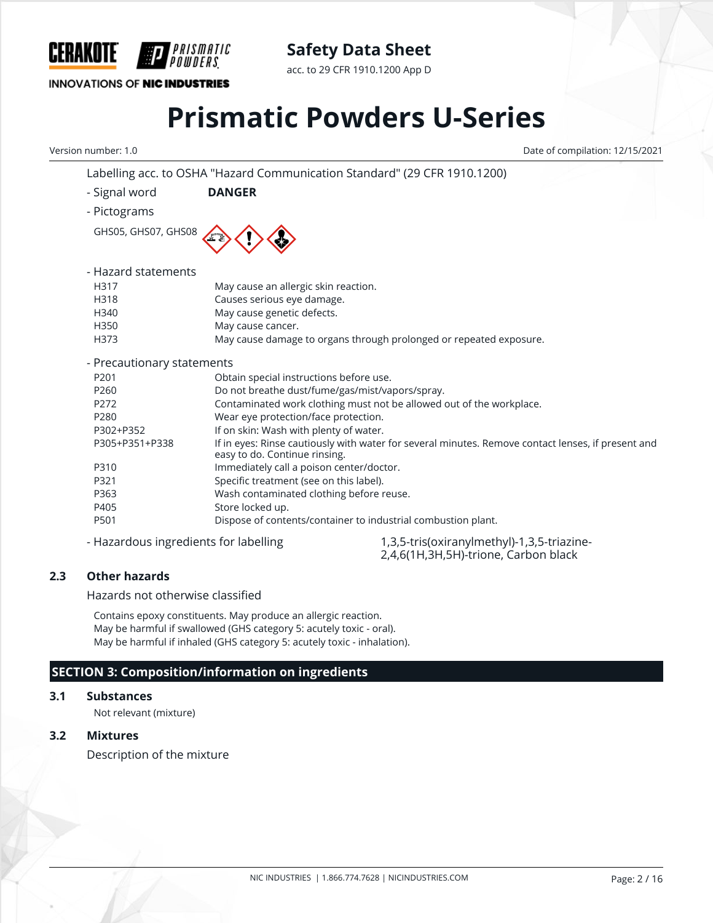

acc. to 29 CFR 1910.1200 App D

## **INNOVATIONS OF NIC INDUSTRIES**

# **Prismatic Powders U-Series**

Labelling acc. to OSHA "Hazard Communication Standard" (29 CFR 1910.1200)

Version number: 1.0 Date of compilation: 12/15/2021

|                                       | Labelility acc. to OSHA Thazard Communication Standard (29 CFN 1910.1200) |                                                                                                    |
|---------------------------------------|---------------------------------------------------------------------------|----------------------------------------------------------------------------------------------------|
| - Signal word                         | <b>DANGER</b>                                                             |                                                                                                    |
| - Pictograms                          |                                                                           |                                                                                                    |
| GHS05, GHS07, GHS08                   |                                                                           |                                                                                                    |
| - Hazard statements                   |                                                                           |                                                                                                    |
| H317                                  | May cause an allergic skin reaction.                                      |                                                                                                    |
| H318                                  | Causes serious eye damage.                                                |                                                                                                    |
| H340                                  | May cause genetic defects.                                                |                                                                                                    |
| H350                                  | May cause cancer.                                                         |                                                                                                    |
| H373                                  |                                                                           | May cause damage to organs through prolonged or repeated exposure.                                 |
| - Precautionary statements            |                                                                           |                                                                                                    |
| P201                                  | Obtain special instructions before use.                                   |                                                                                                    |
| P <sub>260</sub>                      | Do not breathe dust/fume/gas/mist/vapors/spray.                           |                                                                                                    |
| P272                                  |                                                                           | Contaminated work clothing must not be allowed out of the workplace.                               |
| P280                                  | Wear eye protection/face protection.                                      |                                                                                                    |
| P302+P352                             | If on skin: Wash with plenty of water.                                    |                                                                                                    |
| P305+P351+P338                        | easy to do. Continue rinsing.                                             | If in eyes: Rinse cautiously with water for several minutes. Remove contact lenses, if present and |
| P310                                  | Immediately call a poison center/doctor.                                  |                                                                                                    |
| P321                                  | Specific treatment (see on this label).                                   |                                                                                                    |
| P363                                  | Wash contaminated clothing before reuse.                                  |                                                                                                    |
| P405                                  | Store locked up.                                                          |                                                                                                    |
| P501                                  | Dispose of contents/container to industrial combustion plant.             |                                                                                                    |
| - Hazardous ingredients for labelling |                                                                           | 1,3,5-tris(oxiranylmethyl)-1,3,5-triazine-                                                         |

2,4,6(1H,3H,5H)-trione, Carbon black

**2.3 Other hazards**

Hazards not otherwise classified

Contains epoxy constituents. May produce an allergic reaction. May be harmful if swallowed (GHS category 5: acutely toxic - oral). May be harmful if inhaled (GHS category 5: acutely toxic - inhalation).

# **SECTION 3: Composition/information on ingredients**

#### **3.1 Substances**

Not relevant (mixture)

### **3.2 Mixtures**

Description of the mixture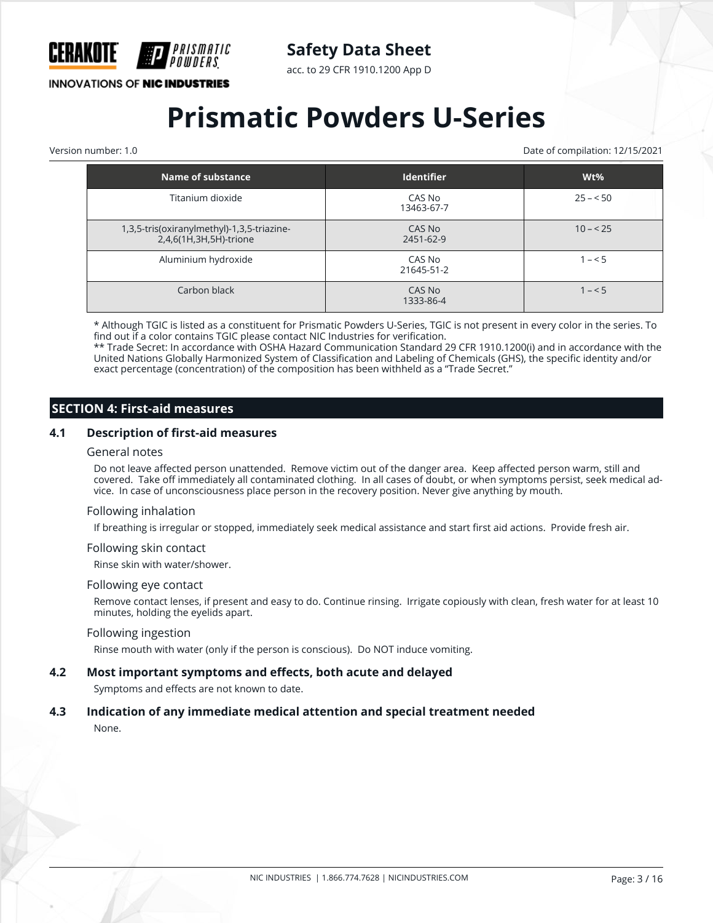

acc. to 29 CFR 1910.1200 App D

**INNOVATIONS OF NIC INDUSTRIES** 

# **Prismatic Powders U-Series**

Version number: 1.0 Date of compilation: 12/15/2021

| Name of substance                                                    | <b>Identifier</b>    | $Wt\%$    |
|----------------------------------------------------------------------|----------------------|-----------|
| Titanium dioxide                                                     | CAS No<br>13463-67-7 | $25 - 50$ |
| 1,3,5-tris(oxiranylmethyl)-1,3,5-triazine-<br>2,4,6(1H,3H,5H)-trione | CAS No<br>2451-62-9  | $10 - 25$ |
| Aluminium hydroxide                                                  | CAS No<br>21645-51-2 | $1 - 5$   |
| Carbon black                                                         | CAS No<br>1333-86-4  | $1 - 5$   |

\* Although TGIC is listed as a constituent for Prismatic Powders U-Series, TGIC is not present in every color in the series. To find out if a color contains TGIC please contact NIC Industries for verification.

\*\* Trade Secret: In accordance with OSHA Hazard Communication Standard 29 CFR 1910.1200(i) and in accordance with the United Nations Globally Harmonized System of Classification and Labeling of Chemicals (GHS), the specific identity and/or exact percentage (concentration) of the composition has been withheld as a "Trade Secret."

### **SECTION 4: First-aid measures**

#### **4.1 Description of first-aid measures**

#### General notes

Do not leave affected person unattended. Remove victim out of the danger area. Keep affected person warm, still and covered. Take off immediately all contaminated clothing. In all cases of doubt, or when symptoms persist, seek medical advice. In case of unconsciousness place person in the recovery position. Never give anything by mouth.

#### Following inhalation

If breathing is irregular or stopped, immediately seek medical assistance and start first aid actions. Provide fresh air.

#### Following skin contact

Rinse skin with water/shower.

#### Following eye contact

Remove contact lenses, if present and easy to do. Continue rinsing. Irrigate copiously with clean, fresh water for at least 10 minutes, holding the eyelids apart.

#### Following ingestion

Rinse mouth with water (only if the person is conscious). Do NOT induce vomiting.

#### **4.2 Most important symptoms and effects, both acute and delayed**

Symptoms and effects are not known to date.

#### **4.3 Indication of any immediate medical attention and special treatment needed**

None.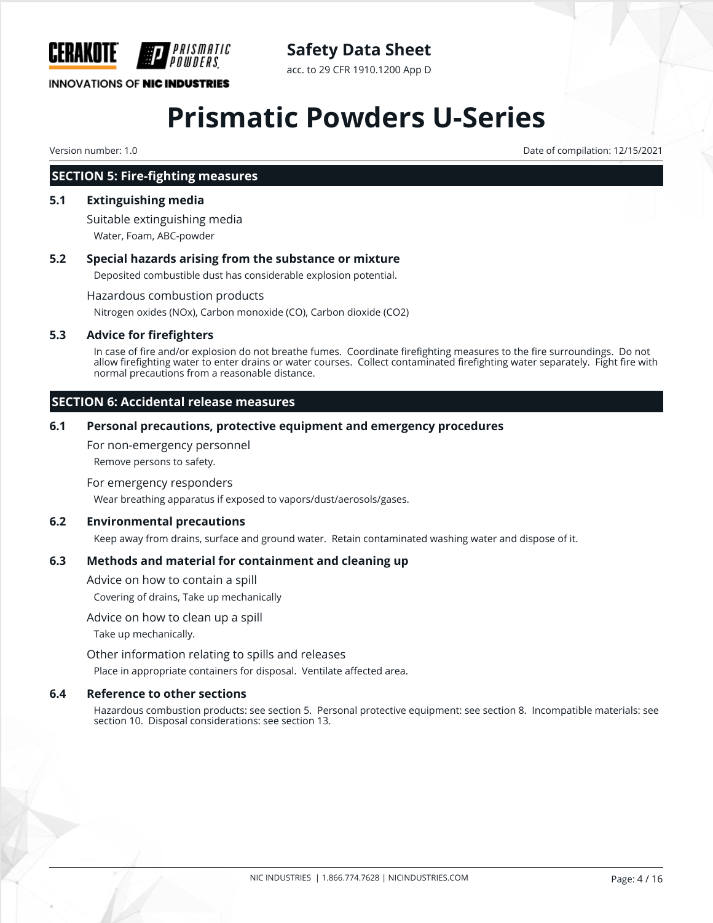

# **Safety Data Sheet**

acc. to 29 CFR 1910.1200 App D

# **Prismatic Powders U-Series**

Version number: 1.0 Date of compilation: 12/15/2021

### **SECTION 5: Fire-fighting measures**

#### **5.1 Extinguishing media**

Suitable extinguishing media Water, Foam, ABC-powder

#### **5.2 Special hazards arising from the substance or mixture**

Deposited combustible dust has considerable explosion potential.

Hazardous combustion products

Nitrogen oxides (NOx), Carbon monoxide (CO), Carbon dioxide (CO2)

#### **5.3 Advice for firefighters**

In case of fire and/or explosion do not breathe fumes. Coordinate firefighting measures to the fire surroundings. Do not allow firefighting water to enter drains or water courses. Collect contaminated firefighting water separately. Fight fire with normal precautions from a reasonable distance.

### **SECTION 6: Accidental release measures**

#### **6.1 Personal precautions, protective equipment and emergency procedures**

For non-emergency personnel

Remove persons to safety.

#### For emergency responders

Wear breathing apparatus if exposed to vapors/dust/aerosols/gases.

#### **6.2 Environmental precautions**

Keep away from drains, surface and ground water. Retain contaminated washing water and dispose of it.

#### **6.3 Methods and material for containment and cleaning up**

Advice on how to contain a spill

Covering of drains, Take up mechanically

#### Advice on how to clean up a spill

Take up mechanically.

Other information relating to spills and releases

Place in appropriate containers for disposal. Ventilate affected area.

#### **6.4 Reference to other sections**

Hazardous combustion products: see section 5. Personal protective equipment: see section 8. Incompatible materials: see section 10. Disposal considerations: see section 13.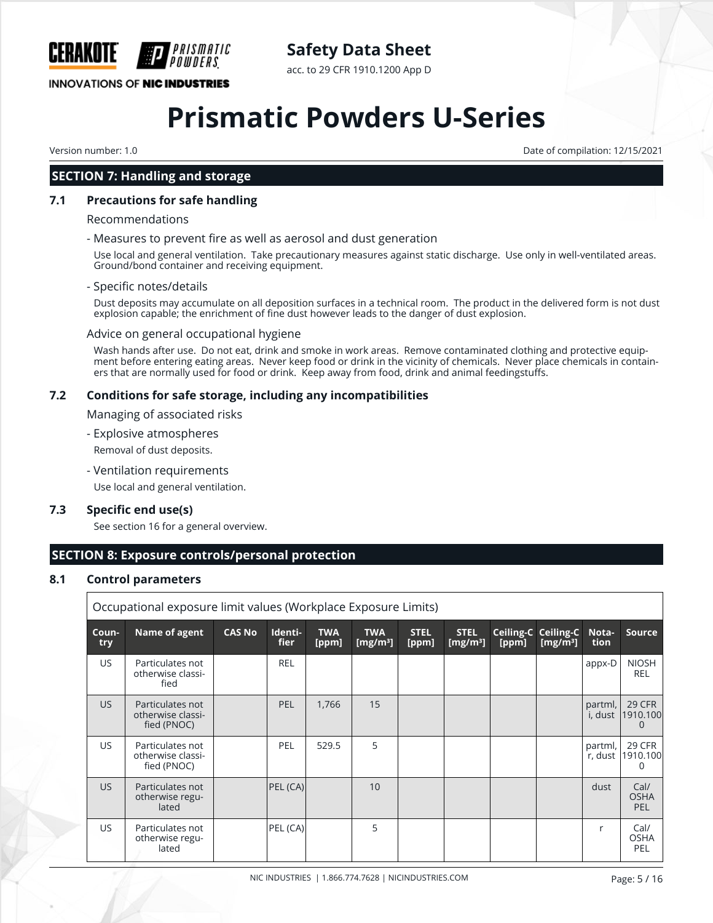

acc. to 29 CFR 1910.1200 App D

## **INNOVATIONS OF NIC INDUSTRIES**

# **Prismatic Powders U-Series**

Version number: 1.0 Date of compilation: 12/15/2021

## **SECTION 7: Handling and storage**

#### **7.1 Precautions for safe handling**

#### Recommendations

#### - Measures to prevent fire as well as aerosol and dust generation

Use local and general ventilation. Take precautionary measures against static discharge. Use only in well-ventilated areas. Ground/bond container and receiving equipment.

#### - Specific notes/details

Dust deposits may accumulate on all deposition surfaces in a technical room. The product in the delivered form is not dust explosion capable; the enrichment of fine dust however leads to the danger of dust explosion.

#### Advice on general occupational hygiene

Wash hands after use. Do not eat, drink and smoke in work areas. Remove contaminated clothing and protective equipment before entering eating areas. Never keep food or drink in the vicinity of chemicals. Never place chemicals in containers that are normally used for food or drink. Keep away from food, drink and animal feedingstuffs.

#### **7.2 Conditions for safe storage, including any incompatibilities**

Managing of associated risks

- Explosive atmospheres

Removal of dust deposits.

- Ventilation requirements

Use local and general ventilation.

#### **7.3 Specific end use(s)**

See section 16 for a general overview.

## **SECTION 8: Exposure controls/personal protection**

#### **8.1 Control parameters**

|              | Occupational exposure limit values (Workplace Exposure Limits) |               |                 |                     |                           |                      |                            |       |                                     |                    |                                   |
|--------------|----------------------------------------------------------------|---------------|-----------------|---------------------|---------------------------|----------------------|----------------------------|-------|-------------------------------------|--------------------|-----------------------------------|
| Coun-<br>try | Name of agent                                                  | <b>CAS No</b> | Identi-<br>fier | <b>TWA</b><br>[ppm] | <b>TWA</b><br>[ $mg/m3$ ] | <b>STEL</b><br>[ppm] | <b>STEL</b><br>[ $mg/m3$ ] | [ppm] | Ceiling-C Ceiling-C<br>[ $mg/m^3$ ] | Nota-<br>tion      | <b>Source</b>                     |
| US.          | Particulates not<br>otherwise classi-<br>fied                  |               | <b>REL</b>      |                     |                           |                      |                            |       |                                     | appx-D             | <b>NIOSH</b><br><b>REL</b>        |
| US.          | Particulates not<br>otherwise classi-<br>fied (PNOC)           |               | <b>PEL</b>      | 1,766               | 15                        |                      |                            |       |                                     | partml,<br>i, dust | 29 CFR<br>1910.100<br>$\Omega$    |
| US.          | Particulates not<br>otherwise classi-<br>fied (PNOC)           |               | <b>PEL</b>      | 529.5               | 5                         |                      |                            |       |                                     | partml,<br>r, dust | 29 CFR<br>1910.100                |
| US.          | Particulates not<br>otherwise regu-<br>lated                   |               | PEL (CA)        |                     | 10                        |                      |                            |       |                                     | dust               | Cal/<br><b>OSHA</b><br><b>PEL</b> |
| US.          | Particulates not<br>otherwise regu-<br>lated                   |               | PEL (CA)        |                     | 5                         |                      |                            |       |                                     | r                  | Cal/<br><b>OSHA</b><br>PEL        |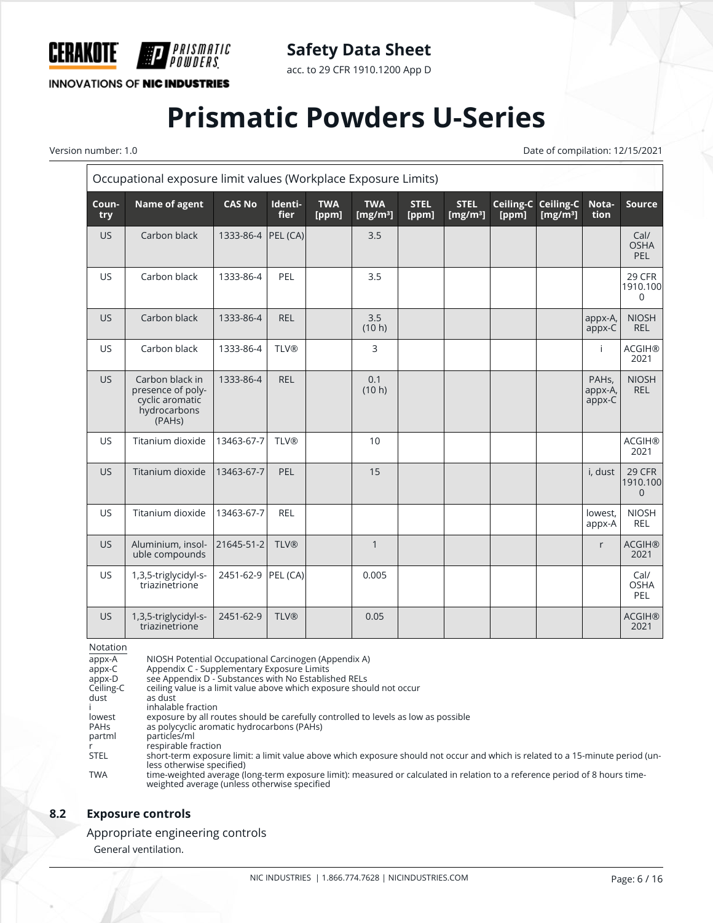

acc. to 29 CFR 1910.1200 App D

**INNOVATIONS OF NIC INDUSTRIES** 

*PRISMATIC<br>Powders* 

# **Prismatic Powders U-Series**

Version number: 1.0 Date of compilation: 12/15/2021

|              | Occupational exposure limit values (Workplace Exposure Limits)                                 |                    |                 |                     |                                    |                      |                            |                    |                          |                                         |                                             |
|--------------|------------------------------------------------------------------------------------------------|--------------------|-----------------|---------------------|------------------------------------|----------------------|----------------------------|--------------------|--------------------------|-----------------------------------------|---------------------------------------------|
| Coun-<br>try | Name of agent                                                                                  | <b>CAS No</b>      | Identi-<br>fier | <b>TWA</b><br>[ppm] | <b>TWA</b><br>[mg/m <sup>3</sup> ] | <b>STEL</b><br>[ppm] | <b>STEL</b><br>[ $mg/m3$ ] | Ceiling-C<br>[ppm] | Ceiling-C<br>[ $mg/m3$ ] | Nota-<br>tion                           | <b>Source</b>                               |
| <b>US</b>    | Carbon black                                                                                   | 1333-86-4 PEL (CA) |                 |                     | 3.5                                |                      |                            |                    |                          |                                         | Cal/<br><b>OSHA</b><br>PEL                  |
| <b>US</b>    | Carbon black                                                                                   | 1333-86-4          | PEL             |                     | 3.5                                |                      |                            |                    |                          |                                         | 29 CFR<br>1910.100<br>$\Omega$              |
| <b>US</b>    | Carbon black                                                                                   | 1333-86-4          | <b>REL</b>      |                     | 3.5<br>(10 h)                      |                      |                            |                    |                          | appx-A,<br>appx-C                       | <b>NIOSH</b><br><b>REL</b>                  |
| <b>US</b>    | Carbon black                                                                                   | 1333-86-4          | <b>TLV®</b>     |                     | 3                                  |                      |                            |                    |                          | Ť                                       | <b>ACGIH®</b><br>2021                       |
| <b>US</b>    | Carbon black in<br>presence of poly-<br>cyclic aromatic<br>hydrocarbons<br>(PAH <sub>s</sub> ) | 1333-86-4          | <b>REL</b>      |                     | 0.1<br>(10 h)                      |                      |                            |                    |                          | PAH <sub>s</sub> ,<br>appx-A,<br>appx-C | <b>NIOSH</b><br><b>REL</b>                  |
| <b>US</b>    | Titanium dioxide                                                                               | 13463-67-7         | <b>TLV®</b>     |                     | 10                                 |                      |                            |                    |                          |                                         | <b>ACGIH®</b><br>2021                       |
| <b>US</b>    | Titanium dioxide                                                                               | 13463-67-7         | PEL             |                     | 15                                 |                      |                            |                    |                          | i, dust                                 | <b>29 CFR</b><br>1910.100<br>$\overline{0}$ |
| <b>US</b>    | Titanium dioxide                                                                               | 13463-67-7         | <b>REL</b>      |                     |                                    |                      |                            |                    |                          | lowest,<br>appx-A                       | <b>NIOSH</b><br><b>REL</b>                  |
| <b>US</b>    | Aluminium, insol-<br>uble compounds                                                            | 21645-51-2         | <b>TLV®</b>     |                     | $\mathbf{1}$                       |                      |                            |                    |                          | r                                       | <b>ACGIH®</b><br>2021                       |
| <b>US</b>    | 1,3,5-triglycidyl-s-<br>triazinetrione                                                         | 2451-62-9 PEL (CA) |                 |                     | 0.005                              |                      |                            |                    |                          |                                         | Cal/<br><b>OSHA</b><br>PEL                  |
| <b>US</b>    | 1,3,5-triglycidyl-s-<br>triazinetrione                                                         | 2451-62-9          | <b>TLV®</b>     |                     | 0.05                               |                      |                            |                    |                          |                                         | <b>ACGIH®</b><br>2021                       |

Notation

appx-A NIOSH Potential Occupational Carcinogen (Appendix A) appx-C Appendix C - Supplementary Exposure Limits appx-C Appendix C - Supplementary Exposure Limits<br>appx-D see Appendix D - Substances with No Established RELs<br>Ceiling-C ceiling value is a limit value above which exposure shou Ceiling-C ceiling value is a limit value above which exposure should not occur dust as dust i inhalable fraction<br>lowest exposure by all ro lowest exposure by all routes should be carefully controlled to levels as low as possible<br>
PAHs as polycyclic aromatic hydrocarbons (PAHs) PAHs as polycyclic aromatic hydrocarbons (PAHs)<br>partml particles/ml particles/ml r<br>STEL short-term exposui short-term exposure limit: a limit value above which exposure should not occur and which is related to a 15-minute period (unless otherwise specified) TWA time-weighted average (long-term exposure limit): measured or calculated in relation to a reference period of 8 hours timeweighted average (unless otherwise specified

## **8.2 Exposure controls**

Appropriate engineering controls

General ventilation.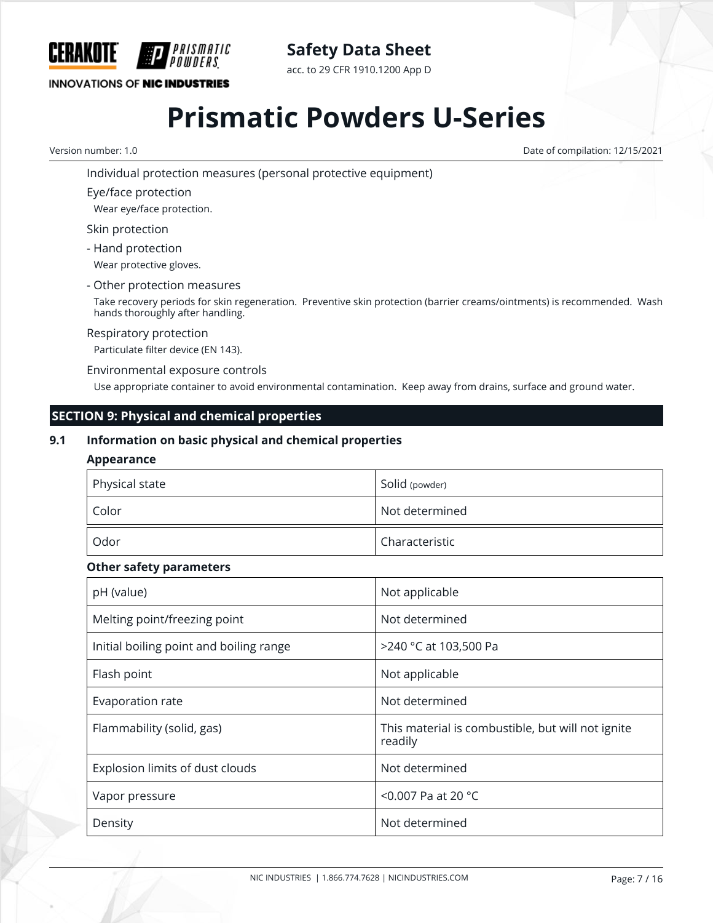

**Safety Data Sheet**

acc. to 29 CFR 1910.1200 App D

# **Prismatic Powders U-Series**

Version number: 1.0 Date of compilation: 12/15/2021

Individual protection measures (personal protective equipment)

Eye/face protection

Wear eye/face protection.

Skin protection

- Hand protection Wear protective gloves.

- Other protection measures

Take recovery periods for skin regeneration. Preventive skin protection (barrier creams/ointments) is recommended. Wash hands thoroughly after handling.

#### Respiratory protection

Particulate filter device (EN 143).

Environmental exposure controls

Use appropriate container to avoid environmental contamination. Keep away from drains, surface and ground water.

# **SECTION 9: Physical and chemical properties**

### **9.1 Information on basic physical and chemical properties**

#### **Appearance**

| Physical state | Solid (powder) |  |  |
|----------------|----------------|--|--|
| Color          | Not determined |  |  |
| Odor           | Characteristic |  |  |

#### **Other safety parameters**

| pH (value)                              | Not applicable                                               |
|-----------------------------------------|--------------------------------------------------------------|
| Melting point/freezing point            | Not determined                                               |
| Initial boiling point and boiling range | >240 °C at 103,500 Pa                                        |
| Flash point                             | Not applicable                                               |
| Evaporation rate                        | Not determined                                               |
| Flammability (solid, gas)               | This material is combustible, but will not ignite<br>readily |
| Explosion limits of dust clouds         | Not determined                                               |
| Vapor pressure                          | <0.007 Pa at 20 $^{\circ}$ C                                 |
| Density                                 | Not determined                                               |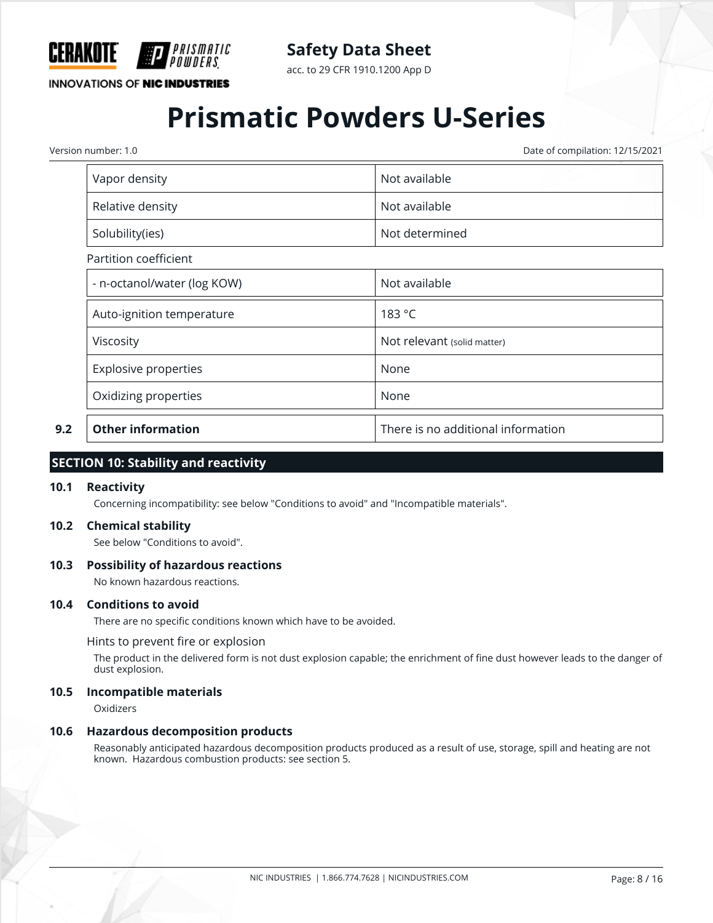

acc. to 29 CFR 1910.1200 App D

### **INNOVATIONS OF NIC INDUSTRIES**

# **Prismatic Powders U-Series**

Version number: 1.0 Date of compilation: 12/15/2021

| Vapor density               | Not available                      |  |
|-----------------------------|------------------------------------|--|
| Relative density            | Not available                      |  |
| Solubility(ies)             | Not determined                     |  |
| Partition coefficient       |                                    |  |
| - n-octanol/water (log KOW) | Not available                      |  |
| Auto-ignition temperature   | 183 °C                             |  |
| Viscosity                   | Not relevant (solid matter)        |  |
| <b>Explosive properties</b> | None                               |  |
| Oxidizing properties        | None                               |  |
| <b>Other information</b>    | There is no additional information |  |

#### **SECTION 10: Stability and reactivity**

#### **10.1 Reactivity**

Concerning incompatibility: see below "Conditions to avoid" and "Incompatible materials".

#### **10.2 Chemical stability**

See below "Conditions to avoid".

#### **10.3 Possibility of hazardous reactions**

No known hazardous reactions.

#### **10.4 Conditions to avoid**

There are no specific conditions known which have to be avoided.

Hints to prevent fire or explosion

The product in the delivered form is not dust explosion capable; the enrichment of fine dust however leads to the danger of dust explosion.

#### **10.5 Incompatible materials**

Oxidizers

#### **10.6 Hazardous decomposition products**

Reasonably anticipated hazardous decomposition products produced as a result of use, storage, spill and heating are not known. Hazardous combustion products: see section 5.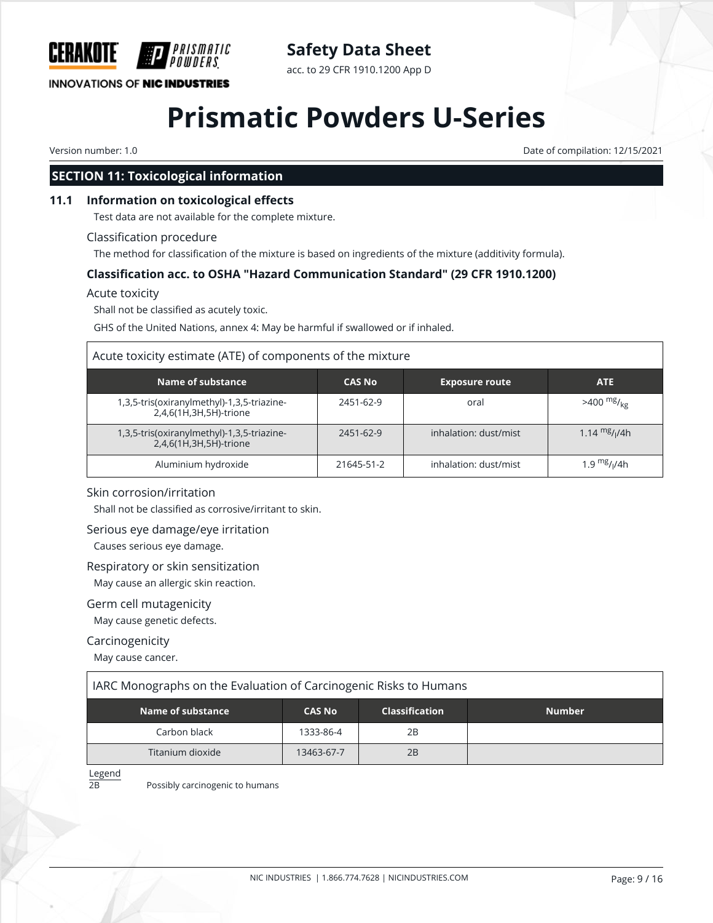

acc. to 29 CFR 1910.1200 App D

## **INNOVATIONS OF NIC INDUSTRIES**

# **Prismatic Powders U-Series**

Version number: 1.0 Date of compilation: 12/15/2021

# **SECTION 11: Toxicological information**

#### **11.1 Information on toxicological effects**

Test data are not available for the complete mixture.

#### Classification procedure

The method for classification of the mixture is based on ingredients of the mixture (additivity formula).

### **Classification acc. to OSHA "Hazard Communication Standard" (29 CFR 1910.1200)**

#### Acute toxicity

Shall not be classified as acutely toxic.

GHS of the United Nations, annex 4: May be harmful if swallowed or if inhaled.

#### Acute toxicity estimate (ATE) of components of the mixture

| Name of substance                                                    | <b>CAS No</b> | <b>Exposure route</b> | <b>ATE</b>           |
|----------------------------------------------------------------------|---------------|-----------------------|----------------------|
| 1,3,5-tris(oxiranylmethyl)-1,3,5-triazine-<br>2,4,6(1H,3H,5H)-trione | 2451-62-9     | oral                  | $>400 \frac{mg}{kg}$ |
| 1,3,5-tris(oxiranylmethyl)-1,3,5-triazine-<br>2,4,6(1H,3H,5H)-trione | 2451-62-9     | inhalation: dust/mist | 1.14 $mg/14h$        |
| Aluminium hydroxide                                                  | 21645-51-2    | inhalation: dust/mist | 1.9 $mg/1/4h$        |

#### Skin corrosion/irritation

Shall not be classified as corrosive/irritant to skin.

#### Serious eye damage/eye irritation

Causes serious eye damage.

#### Respiratory or skin sensitization

May cause an allergic skin reaction.

#### Germ cell mutagenicity

May cause genetic defects.

#### Carcinogenicity

May cause cancer.

#### IARC Monographs on the Evaluation of Carcinogenic Risks to Humans

| Name of substance | <b>CAS No</b> | <b>Classification</b> | <b>Number</b> |
|-------------------|---------------|-----------------------|---------------|
| Carbon black      | 1333-86-4     | 2B                    |               |
| Titanium dioxide  | 13463-67-7    | 2B                    |               |

Legend

2B Possibly carcinogenic to humans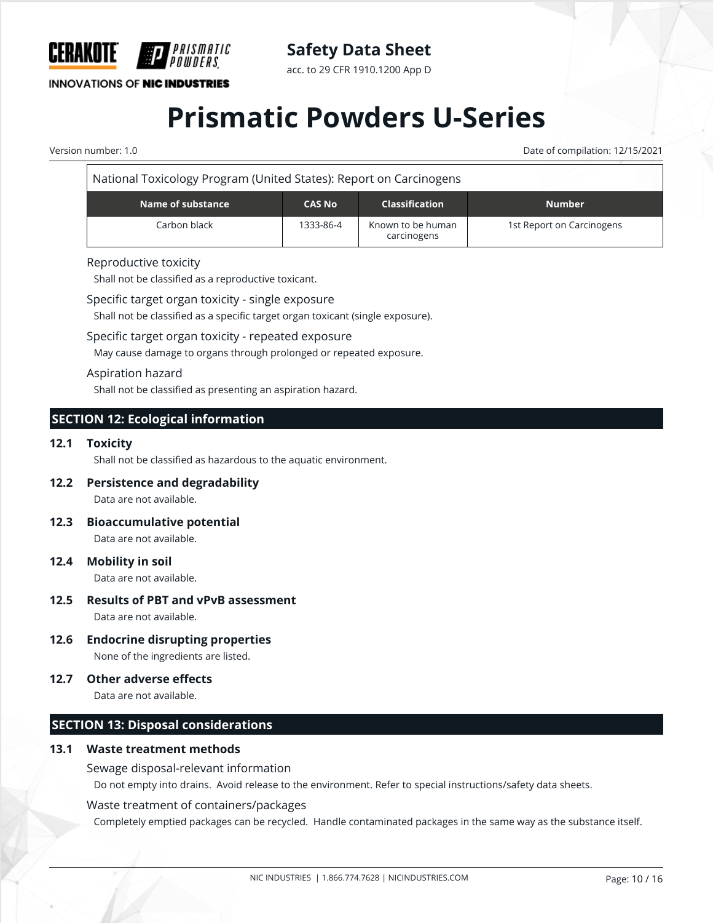

**INNOVATIONS OF NIC INDUSTRIES** 

### acc. to 29 CFR 1910.1200 App D

# **Prismatic Powders U-Series**

Version number: 1.0 Date of compilation: 12/15/2021

| National Toxicology Program (United States): Report on Carcinogens |                   |               |                                  |                           |  |
|--------------------------------------------------------------------|-------------------|---------------|----------------------------------|---------------------------|--|
|                                                                    | Name of substance | <b>CAS No</b> | <b>Classification</b>            | <b>Number</b>             |  |
|                                                                    | Carbon black      | 1333-86-4     | Known to be human<br>carcinogens | 1st Report on Carcinogens |  |

#### Reproductive toxicity

Shall not be classified as a reproductive toxicant.

Specific target organ toxicity - single exposure

Shall not be classified as a specific target organ toxicant (single exposure).

Specific target organ toxicity - repeated exposure

May cause damage to organs through prolonged or repeated exposure.

#### Aspiration hazard

Shall not be classified as presenting an aspiration hazard.

## **SECTION 12: Ecological information**

#### **12.1 Toxicity**

Shall not be classified as hazardous to the aquatic environment.

**12.2 Persistence and degradability**

Data are not available.

- **12.3 Bioaccumulative potential** Data are not available.
- **12.4 Mobility in soil** Data are not available.
- **12.5 Results of PBT and vPvB assessment** Data are not available.
- **12.6 Endocrine disrupting properties** None of the ingredients are listed.
- **12.7 Other adverse effects**

Data are not available.

## **SECTION 13: Disposal considerations**

### **13.1 Waste treatment methods**

Sewage disposal-relevant information

Do not empty into drains. Avoid release to the environment. Refer to special instructions/safety data sheets.

Waste treatment of containers/packages

Completely emptied packages can be recycled. Handle contaminated packages in the same way as the substance itself.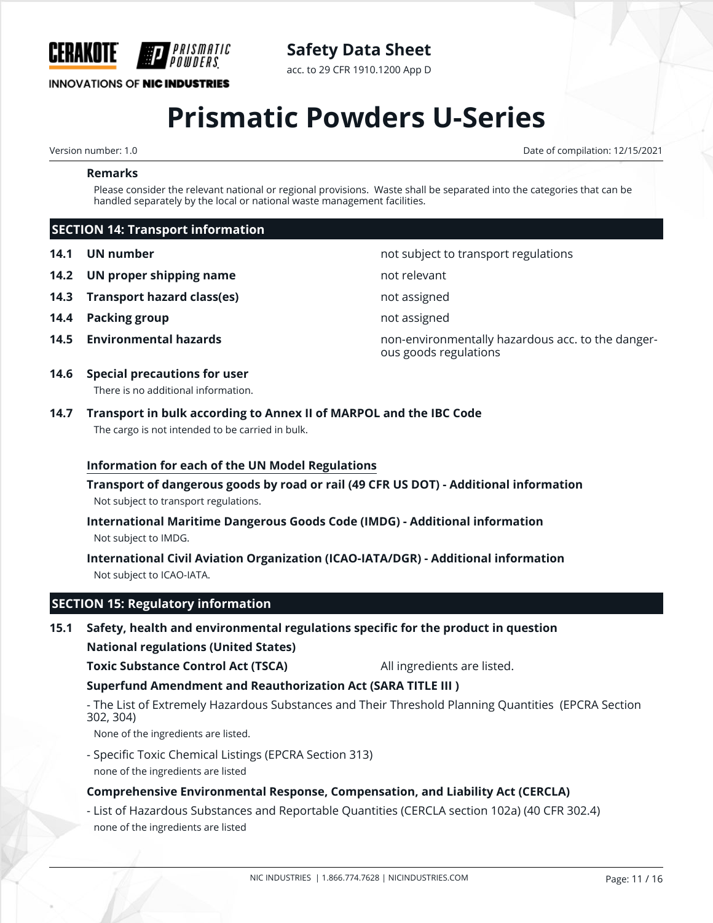

**Safety Data Sheet**

acc. to 29 CFR 1910.1200 App D

# **Prismatic Powders U-Series**

Version number: 1.0 Date of compilation: 12/15/2021

#### **Remarks**

Please consider the relevant national or regional provisions. Waste shall be separated into the categories that can be handled separately by the local or national waste management facilities.

ous goods regulations

### **SECTION 14: Transport information**

- **14.1 UN number 14.1 UN** number **not subject to transport regulations**
- **14.2 UN proper shipping name** not relevant
- **14.3 Transport hazard class(es)** not assigned
- **14.4 Packing group not assigned**
- **14.5 Environmental hazards 14.5 Environmentally hazardous acc. to the danger-**
- **14.6 Special precautions for user**

There is no additional information.

## **14.7 Transport in bulk according to Annex II of MARPOL and the IBC Code** The cargo is not intended to be carried in bulk.

#### **Information for each of the UN Model Regulations**

**Transport of dangerous goods by road or rail (49 CFR US DOT) - Additional information** Not subject to transport regulations.

**International Maritime Dangerous Goods Code (IMDG) - Additional information** Not subject to IMDG.

**International Civil Aviation Organization (ICAO-IATA/DGR) - Additional information** Not subject to ICAO-IATA.

### **SECTION 15: Regulatory information**

# **15.1 Safety, health and environmental regulations specific for the product in question**

**National regulations (United States)**

**Toxic Substance Control Act (TSCA)** All ingredients are listed.

**Superfund Amendment and Reauthorization Act (SARA TITLE III )**

- The List of Extremely Hazardous Substances and Their Threshold Planning Quantities (EPCRA Section 302, 304)

None of the ingredients are listed.

- Specific Toxic Chemical Listings (EPCRA Section 313)

none of the ingredients are listed

#### **Comprehensive Environmental Response, Compensation, and Liability Act (CERCLA)**

- List of Hazardous Substances and Reportable Quantities (CERCLA section 102a) (40 CFR 302.4) none of the ingredients are listed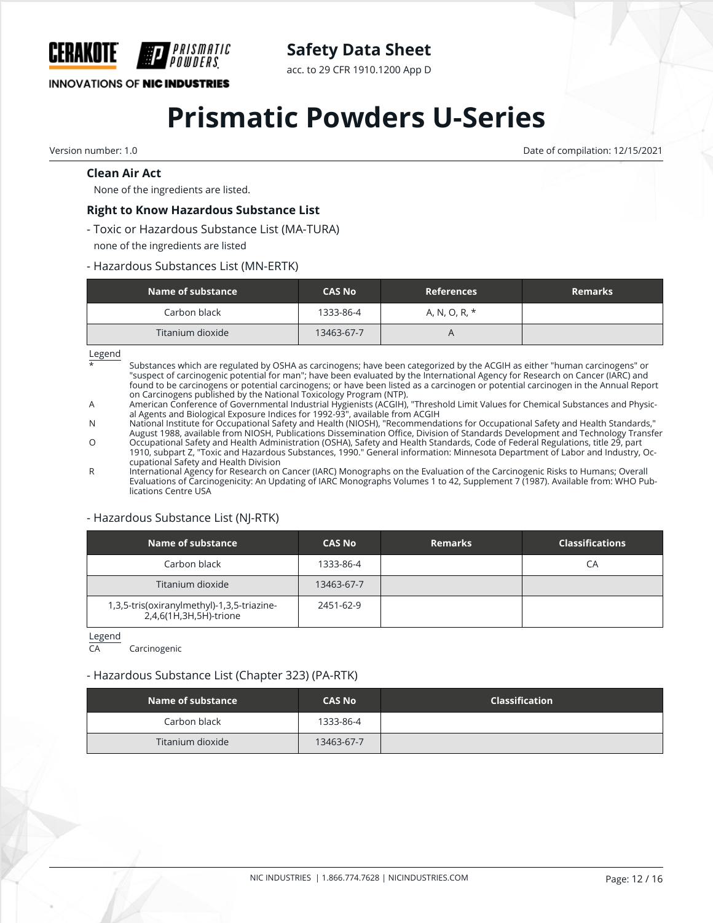

acc. to 29 CFR 1910.1200 App D

### **INNOVATIONS OF NIC INDUSTRIES**

# **Prismatic Powders U-Series**

Version number: 1.0 Date of compilation: 12/15/2021

#### **Clean Air Act**

None of the ingredients are listed.

#### **Right to Know Hazardous Substance List**

PRISMATIC

- Toxic or Hazardous Substance List (MA-TURA) none of the ingredients are listed
- 
- Hazardous Substances List (MN-ERTK)

| Name of substance | <b>CAS No</b> | <b>References</b> | <b>Remarks</b> |
|-------------------|---------------|-------------------|----------------|
| Carbon black      | 1333-86-4     | A, N, O, R, *     |                |
| Titanium dioxide  | 13463-67-7    |                   |                |

Legend

Substances which are regulated by OSHA as carcinogens; have been categorized by the ACGIH as either "human carcinogens" or "suspect of carcinogenic potential for man"; have been evaluated by the International Agency for Research on Cancer (IARC) and found to be carcinogens or potential carcinogens; or have been listed as a carcinogen or potential carcinogen in the Annual Report on Carcinogens published by the National Toxicology Program (NTP).

A American Conference of Governmental Industrial Hygienists (ACGIH), "Threshold Limit Values for Chemical Substances and Physical Agents and Biological Exposure Indices for 1992-93", available from ACGIH

N National Institute for Occupational Safety and Health (NIOSH), "Recommendations for Occupational Safety and Health Standards," August 1988, available from NIOSH, Publications Dissemination Office, Division of Standards Development and Technology Transfer

O Occupational Safety and Health Administration (OSHA), Safety and Health Standards, Code of Federal Regulations, title 29, part 1910, subpart Z, "Toxic and Hazardous Substances, 1990." General information: Minnesota Department of Labor and Industry, Occupational Safety and Health Division

R International Agency for Research on Cancer (IARC) Monographs on the Evaluation of the Carcinogenic Risks to Humans; Overall Evaluations of Carcinogenicity: An Updating of IARC Monographs Volumes 1 to 42, Supplement 7 (1987). Available from: WHO Publications Centre USA

#### - Hazardous Substance List (NJ-RTK)

| Name of substance                                                    | <b>CAS No</b> | <b>Remarks</b> | <b>Classifications</b> |
|----------------------------------------------------------------------|---------------|----------------|------------------------|
| Carbon black                                                         | 1333-86-4     |                | CА                     |
| Titanium dioxide                                                     | 13463-67-7    |                |                        |
| 1,3,5-tris(oxiranylmethyl)-1,3,5-triazine-<br>2,4,6(1H,3H,5H)-trione | 2451-62-9     |                |                        |

Legend

CA Carcinogenic

#### - Hazardous Substance List (Chapter 323) (PA-RTK)

| Name of substance | <b>CAS No</b> | <b>Classification</b> |
|-------------------|---------------|-----------------------|
| Carbon black      | 1333-86-4     |                       |
| Titanium dioxide  | 13463-67-7    |                       |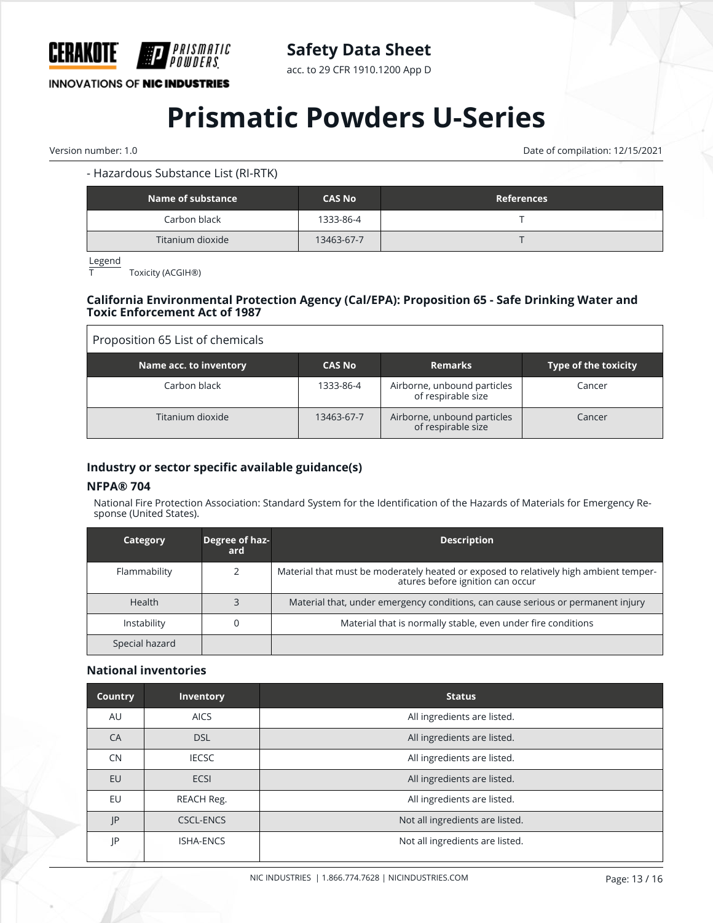

acc. to 29 CFR 1910.1200 App D

**INNOVATIONS OF NIC INDUSTRIES** 

# **Prismatic Powders U-Series**

Version number: 1.0 Date of compilation: 12/15/2021

### - Hazardous Substance List (RI-RTK)

| Name of substance | <b>CAS No</b> | <b>References</b> |
|-------------------|---------------|-------------------|
| Carbon black      | 1333-86-4     |                   |
| Titanium dioxide  | 13463-67-7    |                   |

Legend

T Toxicity (ACGIH®)

#### **California Environmental Protection Agency (Cal/EPA): Proposition 65 - Safe Drinking Water and Toxic Enforcement Act of 1987**

| Proposition 65 List of chemicals |               |                                                   |                      |
|----------------------------------|---------------|---------------------------------------------------|----------------------|
| Name acc. to inventory           | <b>CAS No</b> | <b>Remarks</b>                                    | Type of the toxicity |
| Carbon black                     | 1333-86-4     | Airborne, unbound particles<br>of respirable size | Cancer               |
| Titanium dioxide                 | 13463-67-7    | Airborne, unbound particles<br>of respirable size | Cancer               |

#### **Industry or sector specific available guidance(s)**

#### **NFPA® 704**

National Fire Protection Association: Standard System for the Identification of the Hazards of Materials for Emergency Response (United States).

| Category       | Degree of haz-<br>ard | <b>Description</b>                                                                                                        |
|----------------|-----------------------|---------------------------------------------------------------------------------------------------------------------------|
| Flammability   |                       | Material that must be moderately heated or exposed to relatively high ambient temper-<br>atures before ignition can occur |
| <b>Health</b>  |                       | Material that, under emergency conditions, can cause serious or permanent injury                                          |
| Instability    |                       | Material that is normally stable, even under fire conditions                                                              |
| Special hazard |                       |                                                                                                                           |

#### **National inventories**

| <b>Country</b> | <b>Inventory</b> | <b>Status</b>                   |
|----------------|------------------|---------------------------------|
| AU             | <b>AICS</b>      | All ingredients are listed.     |
| CA             | <b>DSL</b>       | All ingredients are listed.     |
| <b>CN</b>      | <b>IECSC</b>     | All ingredients are listed.     |
| <b>EU</b>      | <b>ECSI</b>      | All ingredients are listed.     |
| EU             | REACH Reg.       | All ingredients are listed.     |
| IP             | <b>CSCL-ENCS</b> | Not all ingredients are listed. |
| IP             | <b>ISHA-ENCS</b> | Not all ingredients are listed. |
|                |                  |                                 |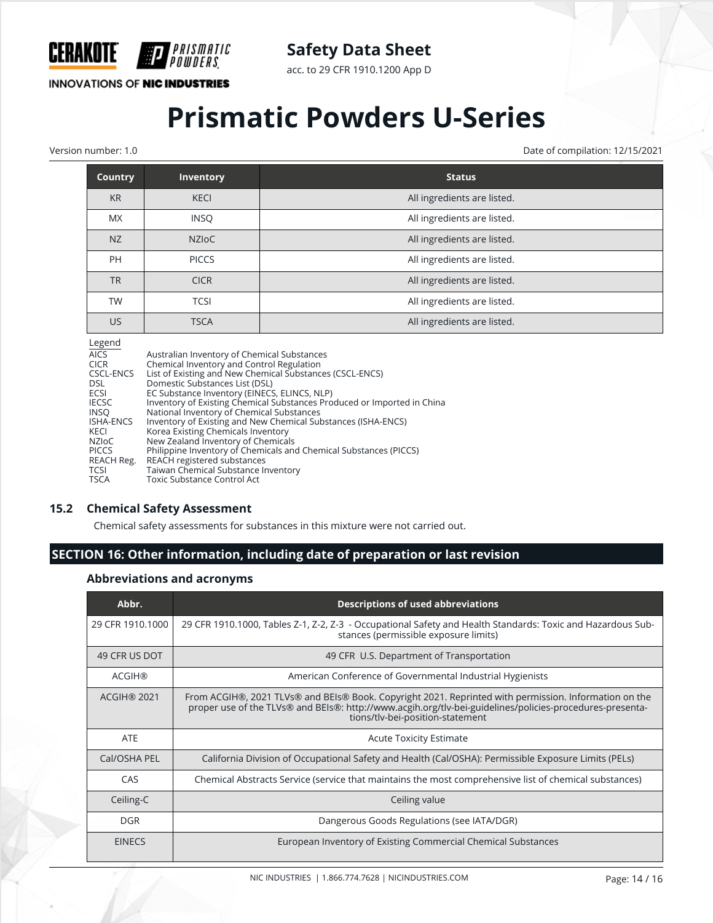

acc. to 29 CFR 1910.1200 App D

**INNOVATIONS OF NIC INDUSTRIES** 

PRISMATIC

# **Prismatic Powders U-Series**

Version number: 1.0 Date of compilation: 12/15/2021

| <b>Country</b> | <b>Inventory</b> | <b>Status</b>               |
|----------------|------------------|-----------------------------|
| <b>KR</b>      | <b>KECI</b>      | All ingredients are listed. |
| <b>MX</b>      | <b>INSQ</b>      | All ingredients are listed. |
| NZ             | <b>NZIOC</b>     | All ingredients are listed. |
| PH             | <b>PICCS</b>     | All ingredients are listed. |
| <b>TR</b>      | <b>CICR</b>      | All ingredients are listed. |
| <b>TW</b>      | <b>TCSI</b>      | All ingredients are listed. |
| <b>US</b>      | <b>TSCA</b>      | All ingredients are listed. |

#### Legend

| $-$ -0 $-$       |                                                                         |
|------------------|-------------------------------------------------------------------------|
| <b>AICS</b>      | Australian Inventory of Chemical Substances                             |
| <b>CICR</b>      | Chemical Inventory and Control Regulation                               |
| CSCL-ENCS        | List of Existing and New Chemical Substances (CSCL-ENCS)                |
| <b>DSL</b>       | Domestic Substances List (DSL)                                          |
| <b>ECSI</b>      | EC Substance Inventory (EINECS, ELINCS, NLP)                            |
| <b>IECSC</b>     | Inventory of Existing Chemical Substances Produced or Imported in China |
| <b>INSO</b>      | National Inventory of Chemical Substances                               |
| <b>ISHA-ENCS</b> | Inventory of Existing and New Chemical Substances (ISHA-ENCS)           |
| KECI             | Korea Existing Chemicals Inventory                                      |
| <b>NZIOC</b>     | New Zealand Inventory of Chemicals                                      |
| <b>PICCS</b>     | Philippine Inventory of Chemicals and Chemical Substances (PICCS)       |
| REACH Reg.       | REACH registered substances                                             |
| TCSI             | Taiwan Chemical Substance Inventory                                     |
| <b>TSCA</b>      | Toxic Substance Control Act                                             |
|                  |                                                                         |

#### **15.2 Chemical Safety Assessment**

Chemical safety assessments for substances in this mixture were not carried out.

# **SECTION 16: Other information, including date of preparation or last revision**

### **Abbreviations and acronyms**

| Abbr.              | <b>Descriptions of used abbreviations</b>                                                                                                                                                                                                             |
|--------------------|-------------------------------------------------------------------------------------------------------------------------------------------------------------------------------------------------------------------------------------------------------|
| 29 CFR 1910.1000   | 29 CFR 1910.1000, Tables Z-1, Z-2, Z-3 - Occupational Safety and Health Standards: Toxic and Hazardous Sub-<br>stances (permissible exposure limits)                                                                                                  |
| 49 CFR US DOT      | 49 CFR U.S. Department of Transportation                                                                                                                                                                                                              |
| <b>ACGIH®</b>      | American Conference of Governmental Industrial Hygienists                                                                                                                                                                                             |
| <b>ACGIH® 2021</b> | From ACGIH®, 2021 TLVs® and BEIs® Book. Copyright 2021. Reprinted with permission. Information on the<br>proper use of the TLVs® and BEIs®: http://www.acgih.org/tlv-bei-guidelines/policies-procedures-presenta-<br>tions/tlv-bei-position-statement |
| <b>ATE</b>         | <b>Acute Toxicity Estimate</b>                                                                                                                                                                                                                        |
| Cal/OSHA PEL       | California Division of Occupational Safety and Health (Cal/OSHA): Permissible Exposure Limits (PELs)                                                                                                                                                  |
| CAS                | Chemical Abstracts Service (service that maintains the most comprehensive list of chemical substances)                                                                                                                                                |
| Ceiling-C          | Ceiling value                                                                                                                                                                                                                                         |
| DGR.               | Dangerous Goods Regulations (see IATA/DGR)                                                                                                                                                                                                            |
| <b>EINECS</b>      | European Inventory of Existing Commercial Chemical Substances                                                                                                                                                                                         |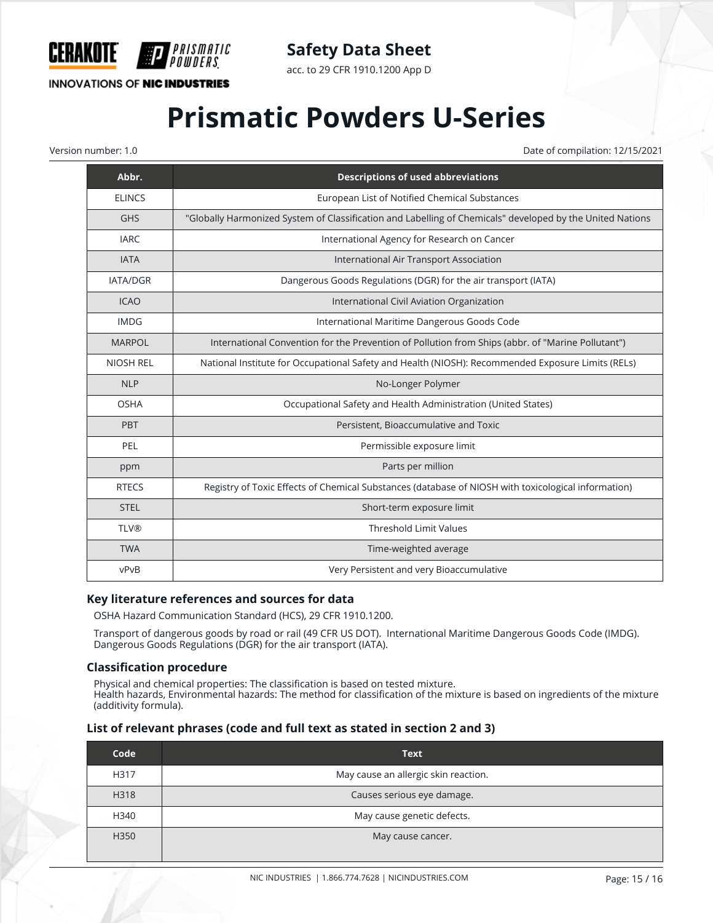

acc. to 29 CFR 1910.1200 App D

# **INNOVATIONS OF NIC INDUSTRIES**

*PRISMATIC* 

# **Prismatic Powders U-Series**

Version number: 1.0 Date of compilation: 12/15/2021

| Abbr.            | <b>Descriptions of used abbreviations</b>                                                                 |
|------------------|-----------------------------------------------------------------------------------------------------------|
| <b>ELINCS</b>    | European List of Notified Chemical Substances                                                             |
| <b>GHS</b>       | "Globally Harmonized System of Classification and Labelling of Chemicals" developed by the United Nations |
| <b>IARC</b>      | International Agency for Research on Cancer                                                               |
| <b>IATA</b>      | International Air Transport Association                                                                   |
| <b>IATA/DGR</b>  | Dangerous Goods Regulations (DGR) for the air transport (IATA)                                            |
| <b>ICAO</b>      | International Civil Aviation Organization                                                                 |
| <b>IMDG</b>      | International Maritime Dangerous Goods Code                                                               |
| <b>MARPOL</b>    | International Convention for the Prevention of Pollution from Ships (abbr. of "Marine Pollutant")         |
| <b>NIOSH REL</b> | National Institute for Occupational Safety and Health (NIOSH): Recommended Exposure Limits (RELs)         |
| <b>NLP</b>       | No-Longer Polymer                                                                                         |
| <b>OSHA</b>      | Occupational Safety and Health Administration (United States)                                             |
| <b>PBT</b>       | Persistent, Bioaccumulative and Toxic                                                                     |
| PEL              | Permissible exposure limit                                                                                |
| ppm              | Parts per million                                                                                         |
| <b>RTECS</b>     | Registry of Toxic Effects of Chemical Substances (database of NIOSH with toxicological information)       |
| <b>STEL</b>      | Short-term exposure limit                                                                                 |
| <b>TLV®</b>      | <b>Threshold Limit Values</b>                                                                             |
| <b>TWA</b>       | Time-weighted average                                                                                     |
| vPvB             | Very Persistent and very Bioaccumulative                                                                  |

#### **Key literature references and sources for data**

OSHA Hazard Communication Standard (HCS), 29 CFR 1910.1200.

Transport of dangerous goods by road or rail (49 CFR US DOT). International Maritime Dangerous Goods Code (IMDG). Dangerous Goods Regulations (DGR) for the air transport (IATA).

#### **Classification procedure**

Physical and chemical properties: The classification is based on tested mixture. Health hazards, Environmental hazards: The method for classification of the mixture is based on ingredients of the mixture (additivity formula).

#### **List of relevant phrases (code and full text as stated in section 2 and 3)**

| Code | <b>Text</b>                          |
|------|--------------------------------------|
| H317 | May cause an allergic skin reaction. |
| H318 | Causes serious eye damage.           |
| H340 | May cause genetic defects.           |
| H350 | May cause cancer.                    |